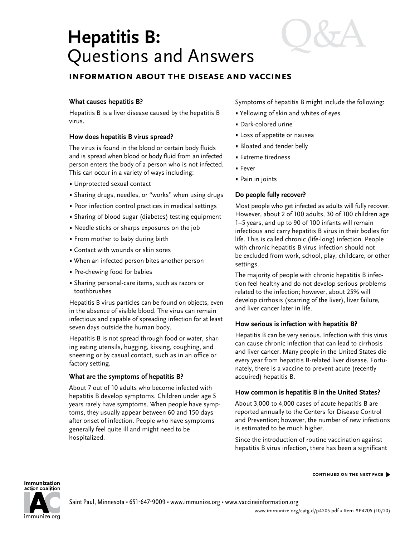# **Hepatitis B:** Questions and Answers

## **information about the disease and vaccines**

## **What causes hepatitis B?**

Hepatitis B is a liver disease caused by the hepatitis B virus.

## **How does hepatitis B virus spread?**

The virus is found in the blood or certain body fluids and is spread when blood or body fluid from an infected person enters the body of a person who is not infected. This can occur in a variety of ways including:

- Unprotected sexual contact
- Sharing drugs, needles, or "works" when using drugs
- Poor infection control practices in medical settings
- Sharing of blood sugar (diabetes) testing equipment
- Needle sticks or sharps exposures on the job
- From mother to baby during birth
- Contact with wounds or skin sores
- When an infected person bites another person
- Pre-chewing food for babies
- Sharing personal-care items, such as razors or toothbrushes

Hepatitis B virus particles can be found on objects, even in the absence of visible blood. The virus can remain infectious and capable of spreading infection for at least seven days outside the human body.

Hepatitis B is not spread through food or water, sharing eating utensils, hugging, kissing, coughing, and sneezing or by casual contact, such as in an office or factory setting.

## **What are the symptoms of hepatitis B?**

About 7 out of 10 adults who become infected with hepatitis B develop symptoms. Children under age 5 years rarely have symptoms. When people have symptoms, they usually appear between 60 and 150 days after onset of infection. People who have symptoms generally feel quite ill and might need to be hospitalized.

Symptoms of hepatitis B might include the following:

- Yellowing of skin and whites of eyes
- Dark-colored urine
- Loss of appetite or nausea
- Bloated and tender belly
- Extreme tiredness
- Fever
- Pain in joints

## **Do people fully recover?**

Most people who get infected as adults will fully recover. However, about 2 of 100 adults, 30 of 100 children age 1–5 years, and up to 90 of 100 infants will remain infectious and carry hepatitis B virus in their bodies for life. This is called chronic (life-long) infection. People with chronic hepatitis B virus infection should not be excluded from work, school, play, childcare, or other settings.

The majority of people with chronic hepatitis B infection feel healthy and do not develop serious problems related to the infection; however, about 25% will develop cirrhosis (scarring of the liver), liver failure, and liver cancer later in life.

## **How serious is infection with hepatitis B?**

Hepatitis B can be very serious. Infection with this virus can cause chronic infection that can lead to cirrhosis and liver cancer. Many people in the United States die every year from hepatitis B-related liver disease. Fortunately, there is a vaccine to prevent acute (recently acquired) hepatitis B.

## **How common is hepatitis B in the United States?**

About 3,000 to 4,000 cases of acute hepatitis B are reported annually to the Centers for Disease Control and Prevention; however, the number of new infections is estimated to be much higher.

Since the introduction of routine vaccination against hepatitis B virus infection, there has been a significant

#### immunization action coalition



Saint Paul, Minnesota • 651-647-9009 • [www.immunize.org](http://www.immunize.org) • [www.vaccineinformation.org](http://www.vaccineinformation.org)

**continued on the next page** �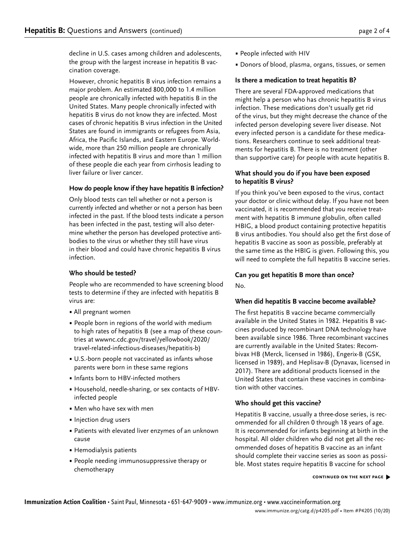decline in U.S. cases among children and adolescents, the group with the largest increase in hepatitis B vaccination coverage.

However, chronic hepatitis B virus infection remains a major problem. An estimated 800,000 to 1.4 million people are chronically infected with hepatitis B in the United States. Many people chronically infected with hepatitis B virus do not know they are infected. Most cases of chronic hepatitis B virus infection in the United States are found in immigrants or refugees from Asia, Africa, the Pacific Islands, and Eastern Europe. Worldwide, more than 250 million people are chronically infected with hepatitis B virus and more than 1 million of these people die each year from cirrhosis leading to liver failure or liver cancer.

## **How do people know if they have hepatitis B infection?**

Only blood tests can tell whether or not a person is currently infected and whether or not a person has been infected in the past. If the blood tests indicate a person has been infected in the past, testing will also determine whether the person has developed protective antibodies to the virus or whether they still have virus in their blood and could have chronic hepatitis B virus infection.

## **Who should be tested?**

People who are recommended to have screening blood tests to determine if they are infected with hepatitis B virus are:

- All pregnant women
- People born in regions of the world with medium to high rates of hepatitis B (see a map of these countries at [wwwnc.cdc.gov/travel/yellowbook/2020/](http://wwwnc.cdc.gov/travel/yellowbook/2020/travel-related-infectious-diseases/hepatitis-b) [travel-related-infectious-diseases/hepatitis-b\)](http://wwwnc.cdc.gov/travel/yellowbook/2020/travel-related-infectious-diseases/hepatitis-b)
- U.S.-born people not vaccinated as infants whose parents were born in these same regions
- Infants born to HBV-infected mothers
- Household, needle-sharing, or sex contacts of HBVinfected people
- Men who have sex with men
- Injection drug users
- Patients with elevated liver enzymes of an unknown cause
- Hemodialysis patients
- People needing immunosuppressive therapy or chemotherapy
- People infected with HIV
- Donors of blood, plasma, organs, tissues, or semen

## **Is there a medication to treat hepatitis B?**

There are several FDA-approved medications that might help a person who has chronic hepatitis B virus infection. These medications don't usually get rid of the virus, but they might decrease the chance of the infected person developing severe liver disease. Not every infected person is a candidate for these medications. Researchers continue to seek additional treatments for hepatitis B. There is no treatment (other than supportive care) for people with acute hepatitis B.

## **What should you do if you have been exposed to hepatitis B virus?**

If you think you've been exposed to the virus, contact your doctor or clinic without delay. If you have not been vaccinated, it is recommended that you receive treatment with hepatitis B immune globulin, often called HBIG, a blood product containing protective hepatitis B virus antibodies. You should also get the first dose of hepatitis B vaccine as soon as possible, preferably at the same time as the HBIG is given. Following this, you will need to complete the full hepatitis B vaccine series.

## **Can you get hepatitis B more than once?**

No.

## **When did hepatitis B vaccine become available?**

The first hepatitis B vaccine became commercially available in the United States in 1982. Hepatitis B vaccines produced by recombinant DNA technology have been available since 1986. Three recombinant vaccines are currently available in the United States: Recombivax HB (Merck, licensed in 1986), Engerix-B (GSK, licensed in 1989), and Heplisav-B (Dynavax, licensed in 2017). There are additional products licensed in the United States that contain these vaccines in combination with other vaccines.

## **Who should get this vaccine?**

Hepatitis B vaccine, usually a three-dose series, is recommended for all children 0 through 18 years of age. It is recommended for infants beginning at birth in the hospital. All older children who did not get all the recommended doses of hepatitis B vaccine as an infant should complete their vaccine series as soon as possible. Most states require hepatitis B vaccine for school

#### **continued on the next page** �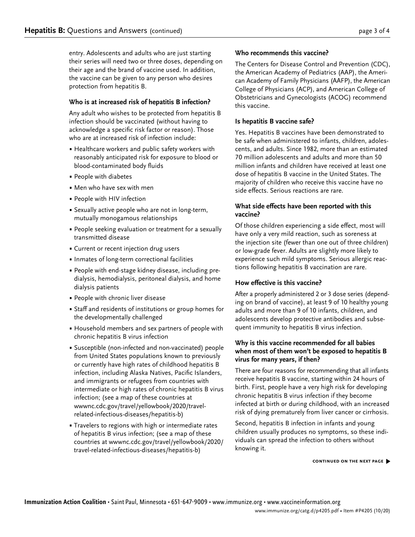entry. Adolescents and adults who are just starting their series will need two or three doses, depending on their age and the brand of vaccine used. In addition, the vaccine can be given to any person who desires protection from hepatitis B.

## **Who is at increased risk of hepatitis B infection?**

Any adult who wishes to be protected from hepatitis B infection should be vaccinated (without having to acknowledge a specific risk factor or reason). Those who are at increased risk of infection include:

- Healthcare workers and public safety workers with reasonably anticipated risk for exposure to blood or blood-contaminated body fluids
- People with diabetes
- Men who have sex with men
- People with HIV infection
- Sexually active people who are not in long-term, mutually monogamous relationships
- People seeking evaluation or treatment for a sexually transmitted disease
- Current or recent injection drug users
- Inmates of long-term correctional facilities
- People with end-stage kidney disease, including predialysis, hemodialysis, peritoneal dialysis, and home dialysis patients
- People with chronic liver disease
- Staff and residents of institutions or group homes for the developmentally challenged
- Household members and sex partners of people with chronic hepatitis B virus infection
- Susceptible (non-infected and non-vaccinated) people from United States populations known to previously or currently have high rates of childhood hepatitis B infection, including Alaska Natives, Pacific Islanders, and immigrants or refugees from countries with intermediate or high rates of chronic hepatitis B virus infection; (see a map of these countries at [wwwnc.cdc.gov/travel/yellowbook/2020/travel](http://wwwnc.cdc.gov/travel/yellowbook/2020/travel-related-infectious-diseases/hepatitis-b)[related-infectious-diseases/hepatitis-b](http://wwwnc.cdc.gov/travel/yellowbook/2020/travel-related-infectious-diseases/hepatitis-b))
- Travelers to regions with high or intermediate rates of hepatitis B virus infection; (see a map of these countries at [wwwnc.cdc.gov/travel/yellowbook/2020/](http://wwwnc.cdc.gov/travel/yellowbook/2020/travel-related-infectious-diseases/hepatitis-b) [travel-related-infectious-diseases/hepatitis-b\)](http://wwwnc.cdc.gov/travel/yellowbook/2020/travel-related-infectious-diseases/hepatitis-b)

## **Who recommends this vaccine?**

The Centers for Disease Control and Prevention (CDC), the American Academy of Pediatrics (AAP), the American Academy of Family Physicians (AAFP), the American College of Physicians (ACP), and American College of Obstetricians and Gynecologists (ACOG) recommend this vaccine.

## **Is hepatitis B vaccine safe?**

Yes. Hepatitis B vaccines have been demonstrated to be safe when administered to infants, children, adolescents, and adults. Since 1982, more than an estimated 70 million adolescents and adults and more than 50 million infants and children have received at least one dose of hepatitis B vaccine in the United States. The majority of children who receive this vaccine have no side effects. Serious reactions are rare.

## **What side effects have been reported with this vaccine?**

Of those children experiencing a side effect, most will have only a very mild reaction, such as soreness at the injection site (fewer than one out of three children) or low-grade fever. Adults are slightly more likely to experience such mild symptoms. Serious allergic reactions following hepatitis B vaccination are rare.

## **How effective is this vaccine?**

After a properly administered 2 or 3 dose series (depending on brand of vaccine), at least 9 of 10 healthy young adults and more than 9 of 10 infants, children, and adolescents develop protective antibodies and subsequent immunity to hepatitis B virus infection.

## **Why is this vaccine recommended for all babies when most of them won't be exposed to hepatitis B virus for many years, if then?**

There are four reasons for recommending that all infants receive hepatitis B vaccine, starting within 24 hours of birth. First, people have a very high risk for developing chronic hepatitis B virus infection if they become infected at birth or during childhood, with an increased risk of dying prematurely from liver cancer or cirrhosis.

Second, hepatitis B infection in infants and young children usually produces no symptoms, so these individuals can spread the infection to others without knowing it.

**continued on the next page** �

#### www.immunize.org/catg.d/p4205.pdf • Item #P4205 (10/20)